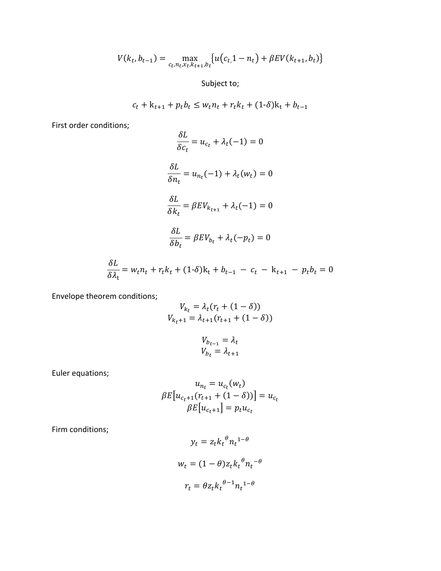$$
V(k_t, b_{t-1}) = \max_{c_t, n_t, x_t, k_{t+1}, b_t} \{ u(c_t, 1 - n_t) + \beta EV(k_{t+1}, b_t) \}
$$

Subject to;

$$
c_t + k_{t+1} + p_t b_t \le w_t n_t + r_t k_t + (1 - \delta) k_t + b_{t-1}
$$

First order conditions;

$$
\frac{\delta L}{\delta c_t} = u_{c_t} + \lambda_t (-1) = 0
$$

$$
\frac{\delta L}{\delta n_t} = u_{n_t} (-1) + \lambda_t (w_t) = 0
$$

$$
\frac{\delta L}{\delta k_t} = \beta E V_{k_{t+1}} + \lambda_t (-1) = 0
$$

$$
\frac{\delta L}{\delta b_t} = \beta E V_{b_t} + \lambda_t (-p_t) = 0
$$

$$
\frac{\delta L}{\delta \lambda_t} = w_t n_t + r_t k_t + (1 - \delta) k_t + b_{t-1} - c_t - k_{t+1} - p_t b_t = 0
$$

Envelope theorem conditions;

$$
V_{k_t} = \lambda_t (r_t + (1 - \delta))
$$
  

$$
V_{k_t+1} = \lambda_{t+1} (r_{t+1} + (1 - \delta))
$$

$$
V_{b_{t-1}} = \lambda_t
$$
  

$$
V_{b_t} = \lambda_{t+1}
$$

Euler equations;

$$
u_{n_t} = u_{c_t}(w_t)
$$
  

$$
\beta E[u_{c_{t+1}}(r_{t+1} + (1 - \delta))] = u_{c_t}
$$
  

$$
\beta E[u_{c_{t+1}}] = p_t u_{c_t}
$$

Firm conditions;

$$
y_t = z_t k_t^{\theta} n_t^{1-\theta}
$$

$$
w_t = (1 - \theta) z_t k_t^{\theta} n_t^{-\theta}
$$

$$
r_t = \theta z_t k_t^{\theta-1} n_t^{1-\theta}
$$